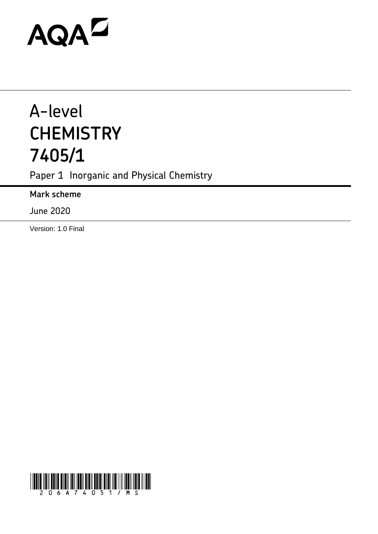# AQAD

## A-level **CHEMISTRY 7405/1**

Paper 1 Inorganic and Physical Chemistry

**Mark scheme**

June 2020

Version: 1.0 Final

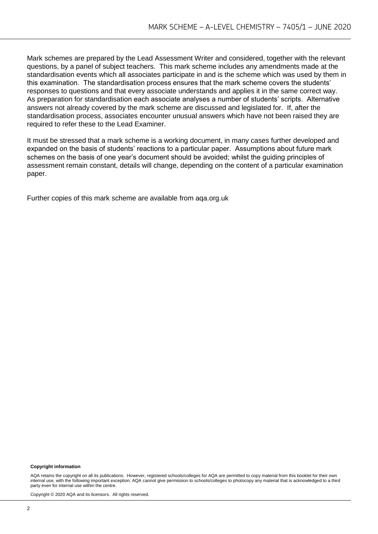Mark schemes are prepared by the Lead Assessment Writer and considered, together with the relevant questions, by a panel of subject teachers. This mark scheme includes any amendments made at the standardisation events which all associates participate in and is the scheme which was used by them in this examination. The standardisation process ensures that the mark scheme covers the students' responses to questions and that every associate understands and applies it in the same correct way. As preparation for standardisation each associate analyses a number of students' scripts. Alternative answers not already covered by the mark scheme are discussed and legislated for. If, after the standardisation process, associates encounter unusual answers which have not been raised they are required to refer these to the Lead Examiner.

It must be stressed that a mark scheme is a working document, in many cases further developed and expanded on the basis of students' reactions to a particular paper. Assumptions about future mark schemes on the basis of one year's document should be avoided; whilst the guiding principles of assessment remain constant, details will change, depending on the content of a particular examination paper.

Further copies of this mark scheme are available from aqa.org.uk

#### **Copyright information**

AQA retains the copyright on all its publications. However, registered schools/colleges for AQA are permitted to copy material from this booklet for their own internal use, with the following important exception: AQA cannot give permission to schools/colleges to photocopy any material that is acknowledged to a third party even for internal use within the centre.

Copyright © 2020 AQA and its licensors. All rights reserved.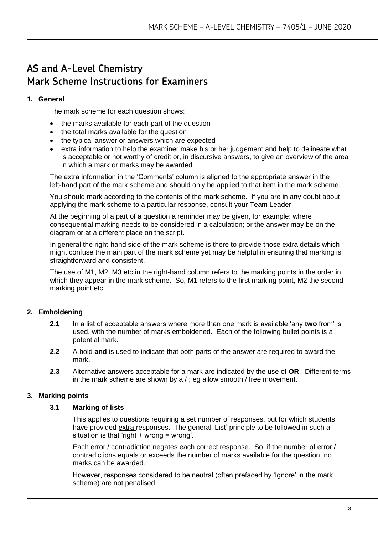### **AS and A-Level Chemistry Mark Scheme Instructions for Examiners**

#### **1. General**

The mark scheme for each question shows:

- the marks available for each part of the question
- the total marks available for the question
- the typical answer or answers which are expected
- extra information to help the examiner make his or her judgement and help to delineate what is acceptable or not worthy of credit or, in discursive answers, to give an overview of the area in which a mark or marks may be awarded.

The extra information in the 'Comments' column is aligned to the appropriate answer in the left-hand part of the mark scheme and should only be applied to that item in the mark scheme.

You should mark according to the contents of the mark scheme. If you are in any doubt about applying the mark scheme to a particular response, consult your Team Leader.

At the beginning of a part of a question a reminder may be given, for example: where consequential marking needs to be considered in a calculation; or the answer may be on the diagram or at a different place on the script.

In general the right-hand side of the mark scheme is there to provide those extra details which might confuse the main part of the mark scheme yet may be helpful in ensuring that marking is straightforward and consistent.

The use of M1, M2, M3 etc in the right-hand column refers to the marking points in the order in which they appear in the mark scheme. So, M1 refers to the first marking point, M2 the second marking point etc.

#### **2. Emboldening**

- **2.1** In a list of acceptable answers where more than one mark is available 'any **two** from' is used, with the number of marks emboldened. Each of the following bullet points is a potential mark.
- **2.2** A bold **and** is used to indicate that both parts of the answer are required to award the mark.
- **2.3** Alternative answers acceptable for a mark are indicated by the use of **OR**. Different terms in the mark scheme are shown by a / ; eg allow smooth / free movement.

#### **3. Marking points**

#### **3.1 Marking of lists**

This applies to questions requiring a set number of responses, but for which students have provided extra responses. The general 'List' principle to be followed in such a situation is that 'right  $+$  wrong = wrong'.

Each error / contradiction negates each correct response. So, if the number of error / contradictions equals or exceeds the number of marks available for the question, no marks can be awarded.

However, responses considered to be neutral (often prefaced by 'Ignore' in the mark scheme) are not penalised.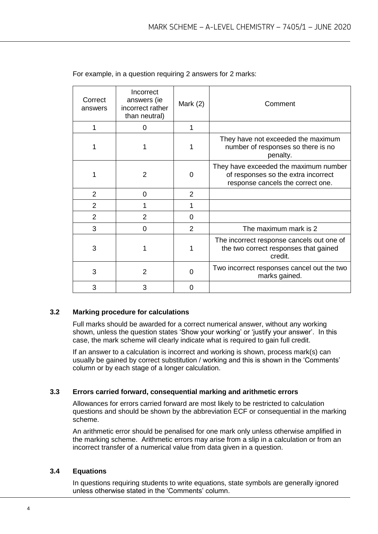| Correct<br>answers | Incorrect<br>answers (ie<br>incorrect rather<br>than neutral) | Mark $(2)$     | Comment                                                                                                           |
|--------------------|---------------------------------------------------------------|----------------|-------------------------------------------------------------------------------------------------------------------|
| 1                  | 0                                                             | 1              |                                                                                                                   |
|                    |                                                               |                | They have not exceeded the maximum<br>number of responses so there is no<br>penalty.                              |
|                    | 2                                                             | 0              | They have exceeded the maximum number<br>of responses so the extra incorrect<br>response cancels the correct one. |
| $\overline{2}$     | 0                                                             | $\overline{2}$ |                                                                                                                   |
| $\overline{2}$     |                                                               |                |                                                                                                                   |
| $\overline{2}$     | $\overline{2}$                                                | 0              |                                                                                                                   |
| 3                  | 0                                                             | 2              | The maximum mark is 2                                                                                             |
| 3                  |                                                               |                | The incorrect response cancels out one of<br>the two correct responses that gained<br>credit.                     |
| 3                  | $\overline{2}$                                                | O              | Two incorrect responses cancel out the two<br>marks gained.                                                       |
| 3                  | 3                                                             | 0              |                                                                                                                   |

For example, in a question requiring 2 answers for 2 marks:

#### **3.2 Marking procedure for calculations**

Full marks should be awarded for a correct numerical answer, without any working shown, unless the question states 'Show your working' or 'justify your answer'. In this case, the mark scheme will clearly indicate what is required to gain full credit.

If an answer to a calculation is incorrect and working is shown, process mark(s) can usually be gained by correct substitution / working and this is shown in the 'Comments' column or by each stage of a longer calculation.

#### **3.3 Errors carried forward, consequential marking and arithmetic errors**

Allowances for errors carried forward are most likely to be restricted to calculation questions and should be shown by the abbreviation ECF or consequential in the marking scheme.

An arithmetic error should be penalised for one mark only unless otherwise amplified in the marking scheme. Arithmetic errors may arise from a slip in a calculation or from an incorrect transfer of a numerical value from data given in a question.

#### **3.4 Equations**

In questions requiring students to write equations, state symbols are generally ignored unless otherwise stated in the 'Comments' column.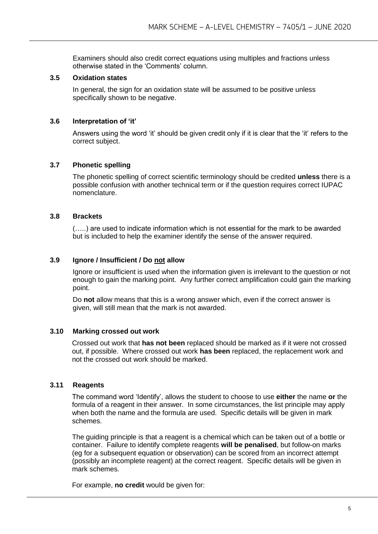Examiners should also credit correct equations using multiples and fractions unless otherwise stated in the 'Comments' column.

#### **3.5 Oxidation states**

In general, the sign for an oxidation state will be assumed to be positive unless specifically shown to be negative.

#### **3.6 Interpretation of 'it'**

Answers using the word 'it' should be given credit only if it is clear that the 'it' refers to the correct subject.

#### **3.7 Phonetic spelling**

The phonetic spelling of correct scientific terminology should be credited **unless** there is a possible confusion with another technical term or if the question requires correct IUPAC nomenclature.

#### **3.8 Brackets**

(…..) are used to indicate information which is not essential for the mark to be awarded but is included to help the examiner identify the sense of the answer required.

#### **3.9 Ignore / Insufficient / Do not allow**

Ignore or insufficient is used when the information given is irrelevant to the question or not enough to gain the marking point. Any further correct amplification could gain the marking point.

Do **not** allow means that this is a wrong answer which, even if the correct answer is given, will still mean that the mark is not awarded.

#### **3.10 Marking crossed out work**

Crossed out work that **has not been** replaced should be marked as if it were not crossed out, if possible. Where crossed out work **has been** replaced, the replacement work and not the crossed out work should be marked.

#### **3.11 Reagents**

The command word 'Identify', allows the student to choose to use **either** the name **or** the formula of a reagent in their answer. In some circumstances, the list principle may apply when both the name and the formula are used. Specific details will be given in mark schemes.

The guiding principle is that a reagent is a chemical which can be taken out of a bottle or container. Failure to identify complete reagents **will be penalised**, but follow-on marks (eg for a subsequent equation or observation) can be scored from an incorrect attempt (possibly an incomplete reagent) at the correct reagent. Specific details will be given in mark schemes.

For example, **no credit** would be given for: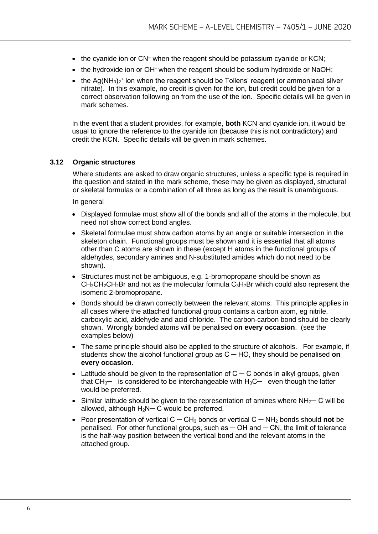- the cyanide ion or CN<sup>-</sup> when the reagent should be potassium cyanide or KCN;
- the hydroxide ion or OH<sup>-</sup> when the reagent should be sodium hydroxide or NaOH;
- the Ag(NH<sub>3</sub>)<sub>2</sub><sup>+</sup> ion when the reagent should be Tollens' reagent (or ammoniacal silver nitrate). In this example, no credit is given for the ion, but credit could be given for a correct observation following on from the use of the ion. Specific details will be given in mark schemes.

In the event that a student provides, for example, **both** KCN and cyanide ion, it would be usual to ignore the reference to the cyanide ion (because this is not contradictory) and credit the KCN. Specific details will be given in mark schemes.

#### **3.12 Organic structures**

Where students are asked to draw organic structures, unless a specific type is required in the question and stated in the mark scheme, these may be given as displayed, structural or skeletal formulas or a combination of all three as long as the result is unambiguous.

In general

- Displayed formulae must show all of the bonds and all of the atoms in the molecule, but need not show correct bond angles.
- Skeletal formulae must show carbon atoms by an angle or suitable intersection in the skeleton chain. Functional groups must be shown and it is essential that all atoms other than C atoms are shown in these (except H atoms in the functional groups of aldehydes, secondary amines and N-substituted amides which do not need to be shown).
- Structures must not be ambiguous, e.g. 1-bromopropane should be shown as  $CH<sub>3</sub>CH<sub>2</sub>CH<sub>2</sub>Br$  and not as the molecular formula  $C<sub>3</sub>H<sub>7</sub>Br$  which could also represent the isomeric 2-bromopropane.
- Bonds should be drawn correctly between the relevant atoms. This principle applies in all cases where the attached functional group contains a carbon atom, eg nitrile, carboxylic acid, aldehyde and acid chloride. The carbon-carbon bond should be clearly shown. Wrongly bonded atoms will be penalised **on every occasion**. (see the examples below)
- The same principle should also be applied to the structure of alcohols. For example, if students show the alcohol functional group as C ─ HO, they should be penalised **on every occasion**.
- Latitude should be given to the representation of  $C C$  bonds in alkyl groups, given that  $CH_3$ — is considered to be interchangeable with  $H_3C$ — even though the latter would be preferred.
- Similar latitude should be given to the representation of amines where  $NH_{2}$  C will be allowed, although  $H_2N-C$  would be preferred.
- Poor presentation of vertical C ─ CH<sup>3</sup> bonds or vertical C ─ NH<sup>2</sup> bonds should **not** be penalised. For other functional groups, such as  $-$  OH and  $-$  CN, the limit of tolerance is the half-way position between the vertical bond and the relevant atoms in the attached group.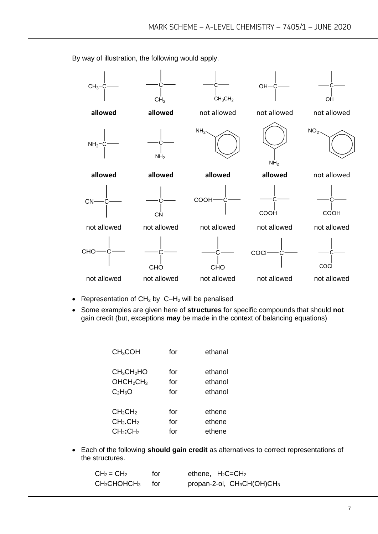

By way of illustration, the following would apply.

- Representation of CH<sup>2</sup> by C−H<sup>2</sup> will be penalised
- Some examples are given here of **structures** for specific compounds that should **not** gain credit (but, exceptions **may** be made in the context of balancing equations)

| CH <sub>3</sub> COH                | for | ethanal |
|------------------------------------|-----|---------|
| CH <sub>3</sub> CH <sub>2</sub> HO | for | ethanol |
| OHCH <sub>2</sub> CH <sub>3</sub>  | for | ethanol |
| $C_2H_6O$                          | for | ethanol |
| CH <sub>2</sub> CH <sub>2</sub>    | for | ethene  |
| CH <sub>2</sub> .CH <sub>2</sub>   | for | ethene  |
| CH <sub>2</sub> :CH <sub>2</sub>   | for | ethene  |

• Each of the following **should gain credit** as alternatives to correct representations of the structures.

| $CH2 = CH2$                      | for   | ethene, $H_2C = CH_2$                              |
|----------------------------------|-------|----------------------------------------------------|
| $\mathsf{CH}_3\mathsf{CHOHCH}_3$ | tor – | propan-2-ol, CH <sub>3</sub> CH(OH)CH <sub>3</sub> |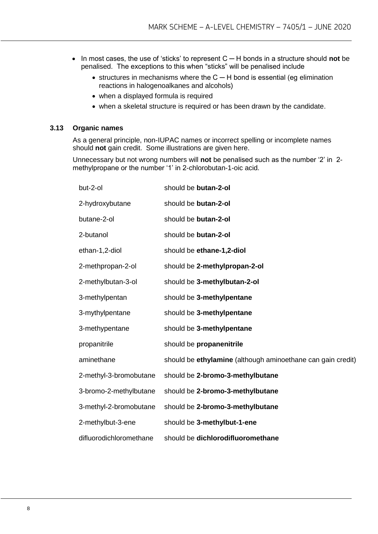- In most cases, the use of 'sticks' to represent C ─ H bonds in a structure should **not** be penalised. The exceptions to this when "sticks" will be penalised include
	- structures in mechanisms where the C ─ H bond is essential (eg elimination reactions in halogenoalkanes and alcohols)
	- when a displayed formula is required
	- when a skeletal structure is required or has been drawn by the candidate.

#### **3.13 Organic names**

As a general principle, non-IUPAC names or incorrect spelling or incomplete names should **not** gain credit. Some illustrations are given here.

Unnecessary but not wrong numbers will **not** be penalised such as the number '2' in 2 methylpropane or the number '1' in 2-chlorobutan-1-oic acid.

| but-2-ol                | should be butan-2-ol                                        |
|-------------------------|-------------------------------------------------------------|
| 2-hydroxybutane         | should be butan-2-ol                                        |
| butane-2-ol             | should be butan-2-ol                                        |
| 2-butanol               | should be butan-2-ol                                        |
| ethan-1,2-diol          | should be ethane-1,2-diol                                   |
| 2-methpropan-2-ol       | should be 2-methylpropan-2-ol                               |
| 2-methylbutan-3-ol      | should be 3-methylbutan-2-ol                                |
| 3-methylpentan          | should be 3-methylpentane                                   |
| 3-mythylpentane         | should be 3-methylpentane                                   |
| 3-methypentane          | should be 3-methylpentane                                   |
| propanitrile            | should be propanenitrile                                    |
| aminethane              | should be ethylamine (although aminoethane can gain credit) |
| 2-methyl-3-bromobutane  | should be 2-bromo-3-methylbutane                            |
| 3-bromo-2-methylbutane  | should be 2-bromo-3-methylbutane                            |
| 3-methyl-2-bromobutane  | should be 2-bromo-3-methylbutane                            |
| 2-methylbut-3-ene       | should be 3-methylbut-1-ene                                 |
| difluorodichloromethane | should be dichlorodifluoromethane                           |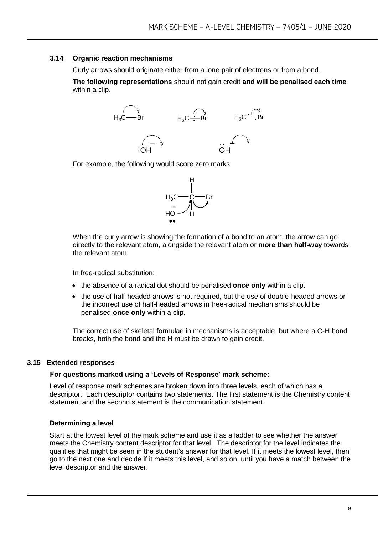#### **3.14 Organic reaction mechanisms**

Curly arrows should originate either from a lone pair of electrons or from a bond.

**The following representations** should not gain credit **and will be penalised each time**  within a clip.



For example, the following would score zero marks



When the curly arrow is showing the formation of a bond to an atom, the arrow can go directly to the relevant atom, alongside the relevant atom or **more than half-way** towards the relevant atom.

In free-radical substitution:

- the absence of a radical dot should be penalised **once only** within a clip.
- the use of half-headed arrows is not required, but the use of double-headed arrows or the incorrect use of half-headed arrows in free-radical mechanisms should be penalised **once only** within a clip.

The correct use of skeletal formulae in mechanisms is acceptable, but where a C-H bond breaks, both the bond and the H must be drawn to gain credit.

#### **3.15 Extended responses**

#### **For questions marked using a 'Levels of Response' mark scheme:**

Level of response mark schemes are broken down into three levels, each of which has a descriptor. Each descriptor contains two statements. The first statement is the Chemistry content statement and the second statement is the communication statement.

#### **Determining a level**

Start at the lowest level of the mark scheme and use it as a ladder to see whether the answer meets the Chemistry content descriptor for that level. The descriptor for the level indicates the qualities that might be seen in the student's answer for that level. If it meets the lowest level, then go to the next one and decide if it meets this level, and so on, until you have a match between the level descriptor and the answer.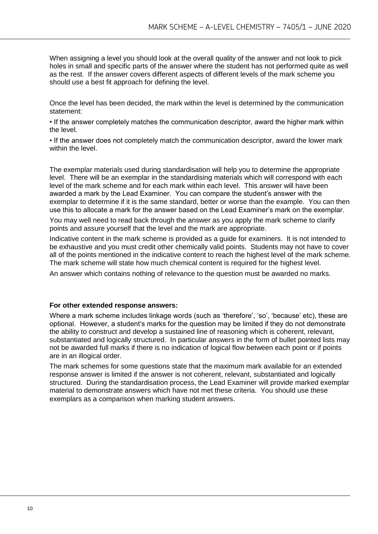When assigning a level you should look at the overall quality of the answer and not look to pick holes in small and specific parts of the answer where the student has not performed quite as well as the rest. If the answer covers different aspects of different levels of the mark scheme you should use a best fit approach for defining the level.

Once the level has been decided, the mark within the level is determined by the communication statement:

• If the answer completely matches the communication descriptor, award the higher mark within the level.

• If the answer does not completely match the communication descriptor, award the lower mark within the level

The exemplar materials used during standardisation will help you to determine the appropriate level. There will be an exemplar in the standardising materials which will correspond with each level of the mark scheme and for each mark within each level. This answer will have been awarded a mark by the Lead Examiner. You can compare the student's answer with the exemplar to determine if it is the same standard, better or worse than the example. You can then use this to allocate a mark for the answer based on the Lead Examiner's mark on the exemplar.

You may well need to read back through the answer as you apply the mark scheme to clarify points and assure yourself that the level and the mark are appropriate.

Indicative content in the mark scheme is provided as a guide for examiners. It is not intended to be exhaustive and you must credit other chemically valid points. Students may not have to cover all of the points mentioned in the indicative content to reach the highest level of the mark scheme. The mark scheme will state how much chemical content is required for the highest level.

An answer which contains nothing of relevance to the question must be awarded no marks.

#### **For other extended response answers:**

Where a mark scheme includes linkage words (such as 'therefore', 'so', 'because' etc), these are optional. However, a student's marks for the question may be limited if they do not demonstrate the ability to construct and develop a sustained line of reasoning which is coherent, relevant, substantiated and logically structured. In particular answers in the form of bullet pointed lists may not be awarded full marks if there is no indication of logical flow between each point or if points are in an illogical order.

The mark schemes for some questions state that the maximum mark available for an extended response answer is limited if the answer is not coherent, relevant, substantiated and logically structured. During the standardisation process, the Lead Examiner will provide marked exemplar material to demonstrate answers which have not met these criteria. You should use these exemplars as a comparison when marking student answers.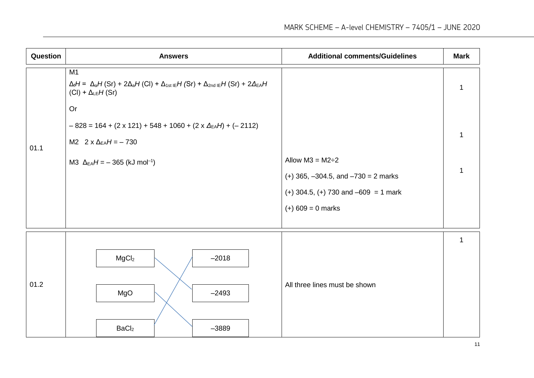| Question | <b>Answers</b>                                                                                                                                           | <b>Additional comments/Guidelines</b>      | <b>Mark</b> |
|----------|----------------------------------------------------------------------------------------------------------------------------------------------------------|--------------------------------------------|-------------|
|          | M1<br>$\Delta_i H = \Delta_a H(Sr) + 2\Delta_a H(Cl) + \Delta_{1st}{}_{IE}H(Sr) + \Delta_{2nd}{}_{IE}H(Sr) + 2\Delta_{EA}H$<br>$(Cl) + \Delta_{LE}H(Sr)$ |                                            | 1           |
|          | Or                                                                                                                                                       |                                            |             |
|          | $-828 = 164 + (2 \times 121) + 548 + 1060 + (2 \times \Delta_{EA}H) + (-2112)$                                                                           |                                            | $\mathbf 1$ |
| 01.1     | M2 $2 \times \Delta_{EA}H = -730$                                                                                                                        |                                            |             |
|          | M3 $\Delta_{EA}H = -365$ (kJ mol <sup>-1</sup> )                                                                                                         | Allow $M3 = M2 \div 2$                     | $\mathbf 1$ |
|          |                                                                                                                                                          | $(+)$ 365, $-304.5$ , and $-730 = 2$ marks |             |
|          |                                                                                                                                                          | $(+)$ 304.5, $(+)$ 730 and $-609 = 1$ mark |             |
|          |                                                                                                                                                          | $(+) 609 = 0$ marks                        |             |
|          |                                                                                                                                                          |                                            | 1           |
|          | MgCl <sub>2</sub><br>$-2018$                                                                                                                             |                                            |             |
| 01.2     | MgO<br>$-2493$                                                                                                                                           | All three lines must be shown              |             |
|          | BaCl <sub>2</sub><br>$-3889$                                                                                                                             |                                            |             |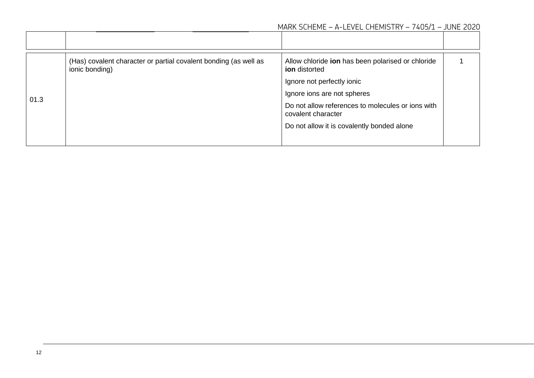|      | (Has) covalent character or partial covalent bonding (as well as<br>ionic bonding) | Allow chloride ion has been polarised or chloride<br><b>ion</b> distorted |  |
|------|------------------------------------------------------------------------------------|---------------------------------------------------------------------------|--|
|      |                                                                                    | Ignore not perfectly ionic                                                |  |
| 01.3 |                                                                                    | Ignore ions are not spheres                                               |  |
|      |                                                                                    | Do not allow references to molecules or ions with<br>covalent character   |  |
|      |                                                                                    | Do not allow it is covalently bonded alone                                |  |
|      |                                                                                    |                                                                           |  |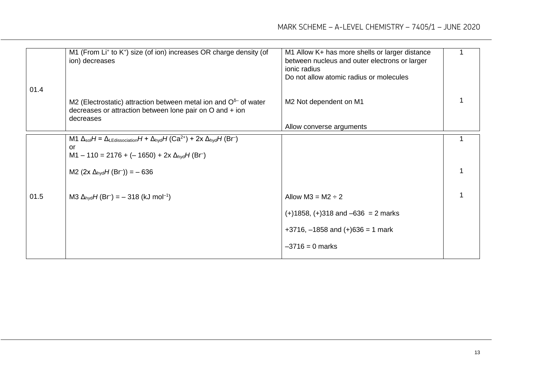|      | M1 (From Li <sup>+</sup> to K <sup>+</sup> ) size (of ion) increases OR charge density (of<br>ion) decreases                                                                                                               | M1 Allow K+ has more shells or larger distance<br>between nucleus and outer electrons or larger<br>ionic radius<br>Do not allow atomic radius or molecules |  |
|------|----------------------------------------------------------------------------------------------------------------------------------------------------------------------------------------------------------------------------|------------------------------------------------------------------------------------------------------------------------------------------------------------|--|
| 01.4 | M2 (Electrostatic) attraction between metal ion and $O5$ of water<br>decreases or attraction between lone pair on O and + ion<br>decreases                                                                                 | M2 Not dependent on M1                                                                                                                                     |  |
|      |                                                                                                                                                                                                                            | Allow converse arguments                                                                                                                                   |  |
|      | M1 $\Delta_{sol}H = \Delta_{LEdissociation}H + \Delta_{hyd}H (Ca^{2+}) + 2x \Delta_{hyd}H (Br)$<br>or<br>$M1 - 110 = 2176 + (-1650) + 2x \Delta_{\text{hyd}}H(\text{Br}^{-})$<br>M2 $(2x \Delta_{\text{hyd}}H(Br)) = -636$ |                                                                                                                                                            |  |
|      |                                                                                                                                                                                                                            |                                                                                                                                                            |  |
| 01.5 | M3 $\Delta_{\text{hyd}}H(\text{Br}^-) = -318$ (kJ mol <sup>-1</sup> )                                                                                                                                                      | Allow $M3 = M2 \div 2$                                                                                                                                     |  |
|      |                                                                                                                                                                                                                            | $(+)1858, (+)318$ and $-636 = 2$ marks                                                                                                                     |  |
|      |                                                                                                                                                                                                                            | $+3716$ , $-1858$ and $(+)636 = 1$ mark                                                                                                                    |  |
|      |                                                                                                                                                                                                                            | $-3716 = 0$ marks                                                                                                                                          |  |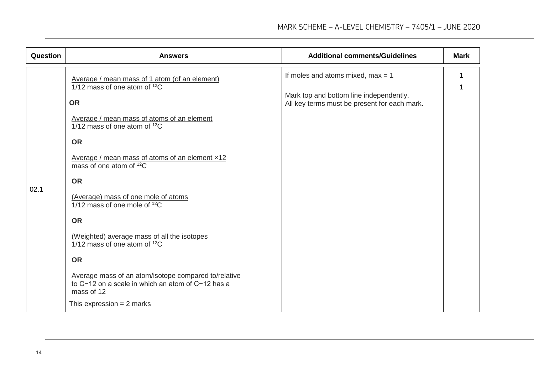| Question | <b>Answers</b>                                                                                                                                                                                                                                                                                                                                                                                                                                                                                                                                                                                                                            | <b>Additional comments/Guidelines</b>                                                                                          | <b>Mark</b> |
|----------|-------------------------------------------------------------------------------------------------------------------------------------------------------------------------------------------------------------------------------------------------------------------------------------------------------------------------------------------------------------------------------------------------------------------------------------------------------------------------------------------------------------------------------------------------------------------------------------------------------------------------------------------|--------------------------------------------------------------------------------------------------------------------------------|-------------|
| 02.1     | Average / mean mass of 1 atom (of an element)<br>1/12 mass of one atom of $12C$<br><b>OR</b><br>Average / mean mass of atoms of an element<br>$1/12$ mass of one atom of $12C$<br><b>OR</b><br>Average / mean mass of atoms of an element x12<br>mass of one atom of $12C$<br><b>OR</b><br>(Average) mass of one mole of atoms<br>$1/12$ mass of one mole of $12C$<br><b>OR</b><br>(Weighted) average mass of all the isotopes<br>$1/12$ mass of one atom of $12C$<br><b>OR</b><br>Average mass of an atom/isotope compared to/relative<br>to C-12 on a scale in which an atom of C-12 has a<br>mass of 12<br>This expression $= 2$ marks | If moles and atoms mixed, $max = 1$<br>Mark top and bottom line independently.<br>All key terms must be present for each mark. |             |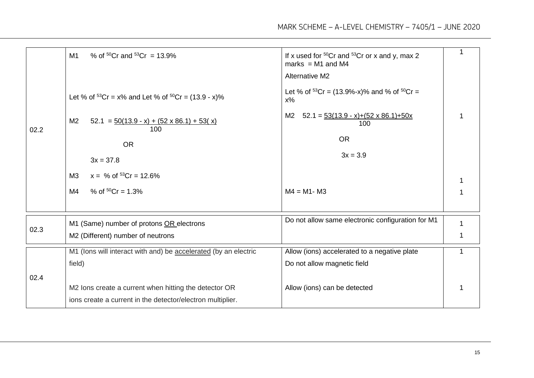|      | % of ${}^{50}Cr$ and ${}^{53}Cr = 13.9%$<br>M1                            | If x used for $50Cr$ and $53Cr$ or x and y, max 2<br>marks = $M1$ and $M4$ | 1 |
|------|---------------------------------------------------------------------------|----------------------------------------------------------------------------|---|
|      |                                                                           | <b>Alternative M2</b>                                                      |   |
|      | Let % of ${}^{53}Cr = x\%$ and Let % of ${}^{50}Cr = (13.9 - x)\%$        | Let % of $53Cr = (13.9\% - x)\%$ and % of $50Cr =$<br>$x\%$                |   |
| 02.2 | M <sub>2</sub><br>$52.1 = 50(13.9 - x) + (52 \times 86.1) + 53(x)$<br>100 | $52.1 = 53(13.9 - x)+(52 \times 86.1)+50x$<br>M2<br>100                    |   |
|      | <b>OR</b>                                                                 | <b>OR</b>                                                                  |   |
|      | $3x = 37.8$                                                               | $3x = 3.9$                                                                 |   |
|      | $x = % of 53Cr = 12.6%$<br>M3                                             |                                                                            |   |
|      | % of ${}^{50}Cr = 1.3%$<br>M4                                             | $M4 = M1 - M3$                                                             | 1 |
|      |                                                                           |                                                                            |   |
|      | M1 (Same) number of protons OR electrons                                  | Do not allow same electronic configuration for M1                          |   |
| 02.3 | M2 (Different) number of neutrons                                         |                                                                            |   |
|      | M1 (lons will interact with and) be accelerated (by an electric           | Allow (ions) accelerated to a negative plate                               | 1 |
|      | field)                                                                    | Do not allow magnetic field                                                |   |
| 02.4 |                                                                           |                                                                            |   |
|      | M2 lons create a current when hitting the detector OR                     | Allow (ions) can be detected                                               |   |
|      | ions create a current in the detector/electron multiplier.                |                                                                            |   |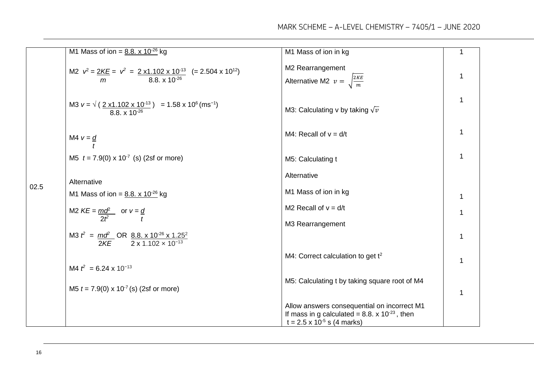|      | M1 Mass of ion = $8.8. \times 10^{-26}$ kg                                                                            | M1 Mass of ion in kg                                                                                                                                    | $\mathbf{1}$ |
|------|-----------------------------------------------------------------------------------------------------------------------|---------------------------------------------------------------------------------------------------------------------------------------------------------|--------------|
|      | M2 $v^2 = 2KE = v^2 = 2 \times 1.102 \times 10^{-13}$ (= 2.504 x 10 <sup>12</sup> )<br>$m = 8.8 \times 10^{-26}$      | M2 Rearrangement<br>Alternative M2 $v = \sqrt{\frac{2KE}{m}}$                                                                                           | $\mathbf{1}$ |
|      | M3 $v = \sqrt{(\frac{2 \times 1.102 \times 10^{-13}}{8.8 \times 10^{-26}})} = 1.58 \times 10^6 \text{ (ms}^{-1)}$     | M3: Calculating v by taking $\sqrt{v}$                                                                                                                  | $\mathbf{1}$ |
|      | M4 $v = d$                                                                                                            | M4: Recall of $v = d/t$                                                                                                                                 | 1            |
|      | M5 $t = 7.9(0) \times 10^{-7}$ (s) (2sf or more)                                                                      | M5: Calculating t                                                                                                                                       | $\mathbf 1$  |
|      | Alternative                                                                                                           | Alternative                                                                                                                                             |              |
| 02.5 | M1 Mass of ion = $8.8. \times 10^{-26}$ kg                                                                            | M1 Mass of ion in kg                                                                                                                                    | $\mathbf 1$  |
|      | M2 $KE = \frac{mq^2}{2t^2}$ or $v = \frac{q}{t}$                                                                      | M2 Recall of $v = d/t$                                                                                                                                  | 1            |
|      |                                                                                                                       | M3 Rearrangement                                                                                                                                        |              |
|      | M3 $t^2 = \frac{m\delta^2}{2KE}$ OR $\frac{8.8 \cdot x \cdot 10^{-26} \times 1.25^2}{2 \times 1.102 \times 10^{-13}}$ |                                                                                                                                                         | $\mathbf 1$  |
|      |                                                                                                                       | M4: Correct calculation to get t <sup>2</sup>                                                                                                           | $\mathbf{1}$ |
|      | M4 $t^2$ = 6.24 x 10 <sup>-13</sup>                                                                                   |                                                                                                                                                         |              |
|      | M5 $t = 7.9(0) \times 10^{-7}$ (s) (2sf or more)                                                                      | M5: Calculating t by taking square root of M4                                                                                                           | 1            |
|      |                                                                                                                       | Allow answers consequential on incorrect M1<br>If mass in g calculated = 8.8. $\times$ 10 <sup>-23</sup> , then<br>$t = 2.5 \times 10^{-5}$ s (4 marks) |              |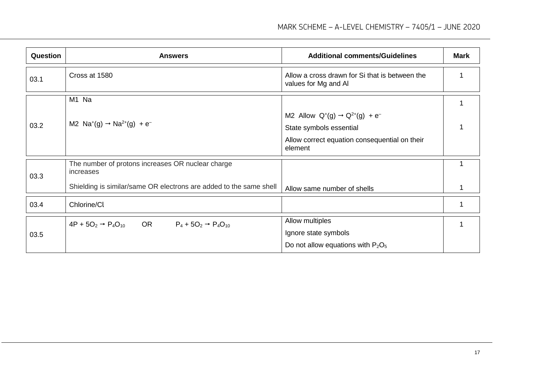| <b>Question</b> | <b>Answers</b>                                                                | <b>Additional comments/Guidelines</b>                                  | <b>Mark</b> |
|-----------------|-------------------------------------------------------------------------------|------------------------------------------------------------------------|-------------|
| 03.1            | Cross at 1580                                                                 | Allow a cross drawn for Si that is between the<br>values for Mg and Al |             |
|                 | M1 Na                                                                         |                                                                        |             |
|                 |                                                                               | M2 Allow $Q^{+}(g) \rightarrow Q^{2+}(g) + e^{-}$                      |             |
| 03.2            | M2 $Na^+(g) \rightarrow Na^{2+}(g) + e^-$                                     | State symbols essential                                                |             |
|                 |                                                                               | Allow correct equation consequential on their<br>element               |             |
| 03.3            | The number of protons increases OR nuclear charge<br>increases                |                                                                        |             |
|                 | Shielding is similar/same OR electrons are added to the same shell            | Allow same number of shells                                            |             |
| 03.4            | Chlorine/Cl                                                                   |                                                                        |             |
|                 | $4P + 5O_2 \rightarrow P_4O_{10}$<br>OR<br>$P_4 + 5O_2 \rightarrow P_4O_{10}$ | Allow multiples                                                        |             |
| 03.5            |                                                                               | Ignore state symbols                                                   |             |
|                 |                                                                               | Do not allow equations with $P_2O_5$                                   |             |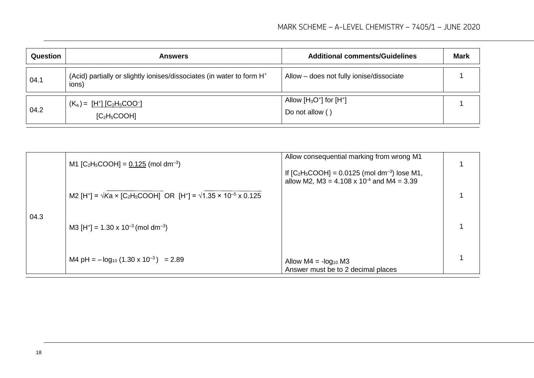| Question | <b>Answers</b>                                                                             | <b>Additional comments/Guidelines</b>           | <b>Mark</b> |
|----------|--------------------------------------------------------------------------------------------|-------------------------------------------------|-------------|
| 04.1     | (Acid) partially or slightly ionises/dissociates (in water to form H <sup>+</sup><br>(ions | Allow - does not fully ionise/dissociate        |             |
| 04.2     | $(K_a) = \frac{[H^+]}{[C_2H_5COO^-]}$<br>[C <sub>2</sub> H <sub>5</sub> COOH]              | Allow $[H_3O^+]$ for $[H^+]$<br>Do not allow () |             |

|      | M1 [C <sub>2</sub> H <sub>5</sub> COOH] = $0.125$ (mol dm <sup>-3</sup> )                                                                  | Allow consequential marking from wrong M1                                                                            |  |
|------|--------------------------------------------------------------------------------------------------------------------------------------------|----------------------------------------------------------------------------------------------------------------------|--|
|      |                                                                                                                                            | If $[C_2H_5COOH] = 0.0125$ (mol dm <sup>-3</sup> ) lose M1,<br>allow M2, M3 = 4.108 x 10 <sup>-4</sup> and M4 = 3.39 |  |
|      | M2 [H <sup>+</sup> ] = $\sqrt{k}$ a × [C <sub>2</sub> H <sub>5</sub> COOH] OR [H <sup>+</sup> ] = $\sqrt{1.35}$ × 10 <sup>-5</sup> x 0.125 |                                                                                                                      |  |
| 04.3 | M3 [H <sup>+</sup> ] = 1.30 x 10 <sup>-3</sup> (mol dm <sup>-3</sup> )                                                                     |                                                                                                                      |  |
|      | M4 pH = $-\log_{10}$ (1.30 x 10 <sup>-3</sup> ) = 2.89                                                                                     | Allow $M4 = -\log_{10} M3$<br>Answer must be to 2 decimal places                                                     |  |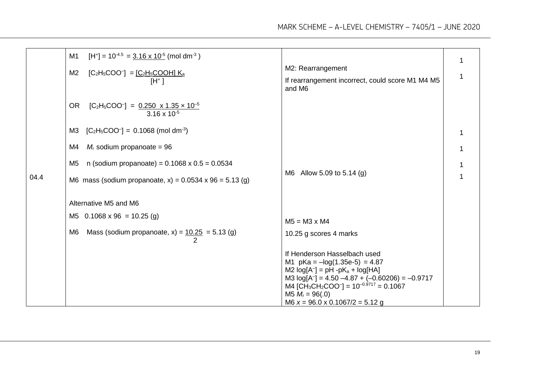|      | M1<br>$[H^+]$ = 10 <sup>-4.5</sup> = <u>3.16 x 10<sup>-5</sup></u> (mol dm <sup>-3</sup> )<br>M <sub>2</sub><br>$[C_2H_5COO^-] = [C_2H_5COOH] K_a$<br>$[H^+]$ | M2: Rearrangement<br>If rearrangement incorrect, could score M1 M4 M5<br>and M6                                                                                                                                                                                                                                            | 1<br>1 |
|------|---------------------------------------------------------------------------------------------------------------------------------------------------------------|----------------------------------------------------------------------------------------------------------------------------------------------------------------------------------------------------------------------------------------------------------------------------------------------------------------------------|--------|
|      | <b>OR</b><br>$[C_2H_5COO^-] = 0.250 \times 1.35 \times 10^{-5}$<br>$3.16 \times 10^{-5}$                                                                      |                                                                                                                                                                                                                                                                                                                            |        |
|      | $[C_2H_5COO^-] = 0.1068$ (mol dm <sup>-3</sup> )<br>M <sub>3</sub>                                                                                            |                                                                                                                                                                                                                                                                                                                            |        |
|      | $M_r$ sodium propanoate = 96<br>M4                                                                                                                            |                                                                                                                                                                                                                                                                                                                            |        |
|      | n (sodium propanoate) = $0.1068 \times 0.5 = 0.0534$<br>M <sub>5</sub>                                                                                        |                                                                                                                                                                                                                                                                                                                            |        |
| 04.4 | M6 mass (sodium propanoate, x) = $0.0534 \times 96 = 5.13$ (g)                                                                                                | M6 Allow 5.09 to 5.14 (g)                                                                                                                                                                                                                                                                                                  | 1      |
|      | Alternative M5 and M6                                                                                                                                         |                                                                                                                                                                                                                                                                                                                            |        |
|      | M5 $0.1068 \times 96 = 10.25$ (g)                                                                                                                             | $M5 = M3 \times M4$                                                                                                                                                                                                                                                                                                        |        |
|      | Mass (sodium propanoate, $x$ ) = $10.25$ = 5.13 (g)<br>M <sub>6</sub>                                                                                         | 10.25 g scores 4 marks                                                                                                                                                                                                                                                                                                     |        |
|      |                                                                                                                                                               | If Henderson Hasselbach used<br>M1 $pKa = -log(1.35e-5) = 4.87$<br>M2 $log[A^-]$ = pH -pK <sub>a</sub> + $log[HA]$<br>M3 $log[A^-]$ = 4.50 -4.87 + (-0.60206) = -0.9717<br>M4 [CH <sub>3</sub> CH <sub>2</sub> COO <sup>-</sup> ] = $10^{-0.9717}$ = 0.1067<br>M5 $M_r = 96(.0)$<br>M6 $x = 96.0 \times 0.1067/2 = 5.12$ g |        |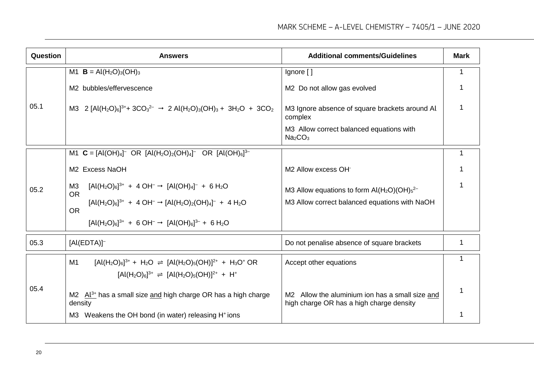| Question | <b>Answers</b>                                                                                                                                                                                      | <b>Additional comments/Guidelines</b>                                                       | <b>Mark</b> |
|----------|-----------------------------------------------------------------------------------------------------------------------------------------------------------------------------------------------------|---------------------------------------------------------------------------------------------|-------------|
|          | M1 $B = Al(H2O)3(OH)3$                                                                                                                                                                              | Ignore []                                                                                   | 1           |
|          | M2 bubbles/effervescence                                                                                                                                                                            | M2 Do not allow gas evolved                                                                 |             |
| 05.1     | M3 2 [Al(H <sub>2</sub> O) <sub>6</sub> ] <sup>3+</sup> + 3CO <sub>3</sub> <sup>2-</sup> $\rightarrow$ 2 Al(H <sub>2</sub> O) <sub>3</sub> (OH) <sub>3</sub> + 3H <sub>2</sub> O + 3CO <sub>2</sub> | M3 Ignore absence of square brackets around Al<br>complex                                   |             |
|          |                                                                                                                                                                                                     | M3 Allow correct balanced equations with<br>Na <sub>2</sub> CO <sub>3</sub>                 |             |
|          | M1 $C = [Al(OH)4]$ <sup>-</sup> OR $[Al(H2O)2(OH)4]$ <sup>-</sup> OR $[Al(OH)6]$ <sup>3-</sup>                                                                                                      |                                                                                             | 1           |
|          | M2 Excess NaOH                                                                                                                                                                                      | M2 Allow excess OH                                                                          |             |
| 05.2     | $[Al(H_2O)_6]^{3+} + 4 OH^- \rightarrow [Al(OH)_4]^- + 6 H_2O$<br>M3<br><b>OR</b>                                                                                                                   | M3 Allow equations to form $Al(H_2O)(OH)_{5}^{2-}$                                          |             |
|          | $[Al(H2O)6]^{3+} + 4 OH- \rightarrow [Al(H2O)2(OH)4]- + 4 H2O$<br><b>OR</b>                                                                                                                         | M3 Allow correct balanced equations with NaOH                                               |             |
|          | $[Al(H_2O)_6]^{3+} + 6 OH^- \rightarrow [Al(OH)_6]^{3-} + 6 H_2O$                                                                                                                                   |                                                                                             |             |
| 05.3     | $[Al(EDTA)]^-$                                                                                                                                                                                      | Do not penalise absence of square brackets                                                  | 1           |
|          | $[Al(H_2O)_6]^{3+}$ + H <sub>2</sub> O $\Rightarrow$ $[Al(H_2O)_5(OH)]^{2+}$ + H <sub>3</sub> O <sup>+</sup> OR<br>M1                                                                               | Accept other equations                                                                      | 1           |
|          | $[Al(H2O)6]3+ \Rightarrow [Al(H2O)5(OH)]2+ + H+$                                                                                                                                                    |                                                                                             |             |
| 05.4     | M2 $Al^{3+}$ has a small size and high charge OR has a high charge<br>density                                                                                                                       | M2 Allow the aluminium ion has a small size and<br>high charge OR has a high charge density | 1           |
|          | M3 Weakens the OH bond (in water) releasing H <sup>+</sup> ions                                                                                                                                     |                                                                                             |             |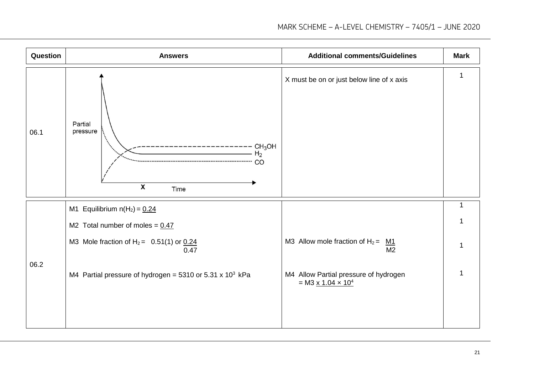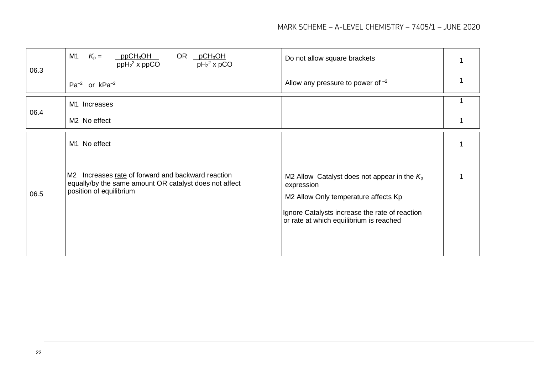| 06.3 | M <sub>1</sub><br>$K_{p} =$<br>$ppCH_3OH$<br>OR pCH <sub>3</sub> OH<br>$ppH22$ x ppCO<br>$pH_2^2$ x pCO                                 | Do not allow square brackets                                                                                                                                                                     |   |
|------|-----------------------------------------------------------------------------------------------------------------------------------------|--------------------------------------------------------------------------------------------------------------------------------------------------------------------------------------------------|---|
|      | $Pa^{-2}$ or $kPa^{-2}$                                                                                                                 | Allow any pressure to power of $^{-2}$                                                                                                                                                           |   |
| 06.4 | M1 Increases                                                                                                                            |                                                                                                                                                                                                  |   |
|      | M <sub>2</sub> No effect                                                                                                                |                                                                                                                                                                                                  | 1 |
|      | M1 No effect                                                                                                                            |                                                                                                                                                                                                  |   |
| 06.5 | M2 Increases rate of forward and backward reaction<br>equally/by the same amount OR catalyst does not affect<br>position of equilibrium | M2 Allow Catalyst does not appear in the $Kp$<br>expression<br>M2 Allow Only temperature affects Kp<br>Ignore Catalysts increase the rate of reaction<br>or rate at which equilibrium is reached |   |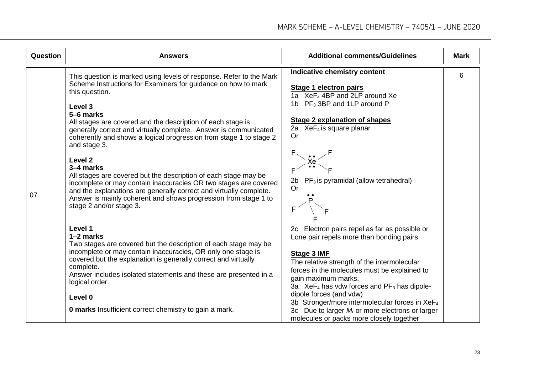| Question | <b>Answers</b>                                                                                                                                                                                                                                                                                                                                                                                                                                                                                                                                                                                                                                                                                                                                        | <b>Additional comments/Guidelines</b>                                                                                                                                                                                                                                                                                                                                                                                                                                                | <b>Mark</b> |
|----------|-------------------------------------------------------------------------------------------------------------------------------------------------------------------------------------------------------------------------------------------------------------------------------------------------------------------------------------------------------------------------------------------------------------------------------------------------------------------------------------------------------------------------------------------------------------------------------------------------------------------------------------------------------------------------------------------------------------------------------------------------------|--------------------------------------------------------------------------------------------------------------------------------------------------------------------------------------------------------------------------------------------------------------------------------------------------------------------------------------------------------------------------------------------------------------------------------------------------------------------------------------|-------------|
| 07       | This question is marked using levels of response. Refer to the Mark<br>Scheme Instructions for Examiners for guidance on how to mark<br>this question.<br>Level 3<br>5-6 marks<br>All stages are covered and the description of each stage is<br>generally correct and virtually complete. Answer is communicated<br>coherently and shows a logical progression from stage 1 to stage 2<br>and stage 3.<br>Level <sub>2</sub><br>3-4 marks<br>All stages are covered but the description of each stage may be<br>incomplete or may contain inaccuracies OR two stages are covered<br>and the explanations are generally correct and virtually complete.<br>Answer is mainly coherent and shows progression from stage 1 to<br>stage 2 and/or stage 3. | Indicative chemistry content<br><b>Stage 1 electron pairs</b><br>1a XeF <sub>4</sub> 4BP and 2LP around Xe<br>1b $PF_3$ 3BP and 1LP around P<br><b>Stage 2 explanation of shapes</b><br>2a XeF <sub>4</sub> is square planar<br><b>Or</b><br>$PF_3$ is pyramidal (allow tetrahedral)<br>2b<br><b>Or</b>                                                                                                                                                                              | 6           |
|          | Level 1<br>1-2 marks<br>Two stages are covered but the description of each stage may be<br>incomplete or may contain inaccuracies, OR only one stage is<br>covered but the explanation is generally correct and virtually<br>complete.<br>Answer includes isolated statements and these are presented in a<br>logical order.<br>Level 0<br><b>0 marks</b> Insufficient correct chemistry to gain a mark.                                                                                                                                                                                                                                                                                                                                              | 2c Electron pairs repel as far as possible or<br>Lone pair repels more than bonding pairs<br><b>Stage 3 IMF</b><br>The relative strength of the intermolecular<br>forces in the molecules must be explained to<br>gain maximum marks.<br>3a $XeF_4$ has vdw forces and $PF_3$ has dipole-<br>dipole forces (and vdw)<br>3b Stronger/more intermolecular forces in XeF <sub>4</sub><br>3c Due to larger $M_r$ or more electrons or larger<br>molecules or packs more closely together |             |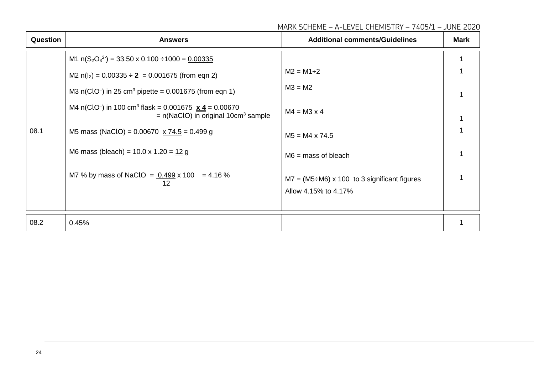| MARK SCHEME - A-LEVEL CHEMISTRY - 7405/1 - JUNE 2020 |  |  |
|------------------------------------------------------|--|--|
|                                                      |  |  |

| Question | <b>Answers</b>                                                                                                                            | <b>Additional comments/Guidelines</b>                   | <b>Mark</b> |
|----------|-------------------------------------------------------------------------------------------------------------------------------------------|---------------------------------------------------------|-------------|
|          | M1 $n(S_2O_3^2) = 33.50 \times 0.100 \div 1000 = 0.00335$                                                                                 |                                                         |             |
|          | M2 $n(l2) = 0.00335 \div 2 = 0.001675$ (from eqn 2)                                                                                       | $M2 = M1 \div 2$                                        |             |
|          | M3 $n(CIO^{-})$ in 25 cm <sup>3</sup> pipette = 0.001675 (from eqn 1)                                                                     | $M3 = M2$                                               |             |
|          | M4 n(ClO <sup>-</sup> ) in 100 cm <sup>3</sup> flask = 0.001675 $\times$ 4 = 0.00670<br>$= n(NaClO)$ in original 10cm <sup>3</sup> sample | $M4 = M3 \times 4$                                      |             |
| 08.1     | M5 mass (NaClO) = $0.00670 \times 74.5 = 0.499$ g                                                                                         | $M5 = M4 \times 74.5$                                   |             |
|          | M6 mass (bleach) = $10.0 \times 1.20 = 12 g$                                                                                              | $M6$ = mass of bleach                                   |             |
|          | M7 % by mass of NaClO = $0.499 \times 100$ = 4.16 %<br>12                                                                                 | $M7 = (M5 \div M6) \times 100$ to 3 significant figures |             |
|          |                                                                                                                                           | Allow 4.15% to 4.17%                                    |             |
|          |                                                                                                                                           |                                                         |             |
| 08.2     | 0.45%                                                                                                                                     |                                                         |             |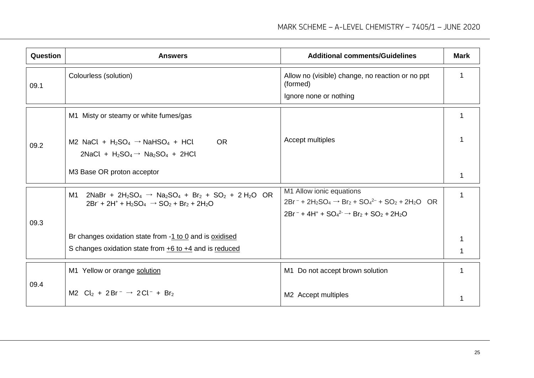| Question | <b>Answers</b>                                                                                                                   | <b>Additional comments/Guidelines</b>                                                                       | <b>Mark</b> |
|----------|----------------------------------------------------------------------------------------------------------------------------------|-------------------------------------------------------------------------------------------------------------|-------------|
| 09.1     | Colourless (solution)                                                                                                            | Allow no (visible) change, no reaction or no ppt<br>(formed)                                                | 1           |
|          |                                                                                                                                  | Ignore none or nothing                                                                                      |             |
|          | M1 Misty or steamy or white fumes/gas                                                                                            |                                                                                                             |             |
| 09.2     | M2 NaCl + $H_2SO_4 \rightarrow NaHSO_4$ + HCl<br><b>OR</b><br>2NaCl + $H_2SO_4 \rightarrow Na_2SO_4$ + 2HCl                      | Accept multiples                                                                                            |             |
|          | M3 Base OR proton acceptor                                                                                                       |                                                                                                             |             |
|          | $2NaBr + 2H_2SO_4 \rightarrow Na_2SO_4 + Br_2 + SO_2 + 2H_2O$ OR<br>M1<br>$2Br + 2H^+ + H_2SO_4 \rightarrow SO_2 + Br_2 + 2H_2O$ | M1 Allow ionic equations<br>$2Br^{-}$ + $2H_2SO_4$ $\rightarrow$ $Br_2$ + $SO_4^{2-}$ + $SO_2$ + $2H_2O$ OR | 1           |
| 09.3     |                                                                                                                                  | $2Br^- + 4H^+ + SO_4^2 \rightarrow Br_2 + SO_2 + 2H_2O$                                                     |             |
|          | Br changes oxidation state from -1 to 0 and is oxidised                                                                          |                                                                                                             |             |
|          | S changes oxidation state from $+6$ to $+4$ and is reduced                                                                       |                                                                                                             |             |
|          | M1 Yellow or orange solution                                                                                                     | M1 Do not accept brown solution                                                                             |             |
| 09.4     | M2 $Cl_2 + 2Br^- \rightarrow 2Cl^- + Br_2$                                                                                       | M2 Accept multiples                                                                                         |             |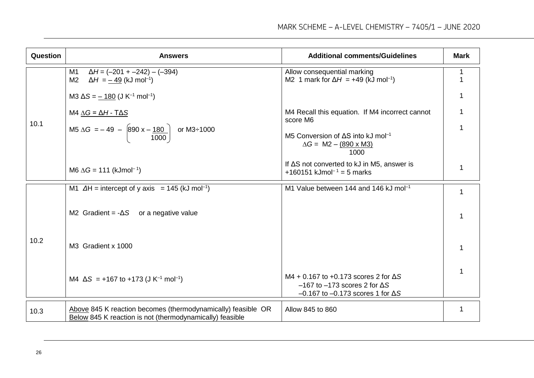| Question | <b>Answers</b>                                                                                                           | <b>Additional comments/Guidelines</b>                                                                                                    | <b>Mark</b> |
|----------|--------------------------------------------------------------------------------------------------------------------------|------------------------------------------------------------------------------------------------------------------------------------------|-------------|
|          | $\Delta H = (-201 + -242) - (-394)$<br>M <sub>1</sub><br>M <sub>2</sub><br>$\Delta H = -49$ (kJ mol <sup>-1</sup> )      | Allow consequential marking<br>M2 1 mark for $\Delta H$ = +49 (kJ mol <sup>-1</sup> )                                                    |             |
|          | M3 $\Delta S = -180$ (J K <sup>-1</sup> mol <sup>-1</sup> )                                                              |                                                                                                                                          |             |
|          | M4 $\Delta G = \Delta H - T \Delta S$                                                                                    | M4 Recall this equation. If M4 incorrect cannot<br>score M6                                                                              |             |
| 10.1     | M5 $\Delta G = -49 - \left[ 890 \times -\frac{180}{1000} \right]$ or M3÷1000                                             | M5 Conversion of $\Delta S$ into kJ mol <sup>-1</sup><br>$\Delta G = M2 - (890 \times M3)$<br>1000                                       |             |
|          | M6 $\Delta G = 111$ (kJmol <sup>-1</sup> )                                                                               | If $\Delta S$ not converted to kJ in M5, answer is<br>+160151 kJmol <sup>-1</sup> = 5 marks                                              | 1           |
|          | M1 $\Delta H$ = intercept of y axis = 145 (kJ mol <sup>-1</sup> )                                                        | M1 Value between 144 and 146 kJ mol <sup>-1</sup>                                                                                        |             |
| 10.2     | M2 Gradient = $-\Delta S$ or a negative value                                                                            |                                                                                                                                          |             |
|          | M3 Gradient x 1000                                                                                                       |                                                                                                                                          |             |
|          | M4 $\Delta S$ = +167 to +173 (J K <sup>-1</sup> mol <sup>-1</sup> )                                                      | M4 + 0.167 to +0.173 scores 2 for $\Delta S$<br>$-167$ to $-173$ scores 2 for $\Delta S$<br>$-0.167$ to $-0.173$ scores 1 for $\Delta S$ |             |
| 10.3     | Above 845 K reaction becomes (thermodynamically) feasible OR<br>Below 845 K reaction is not (thermodynamically) feasible | Allow 845 to 860                                                                                                                         |             |